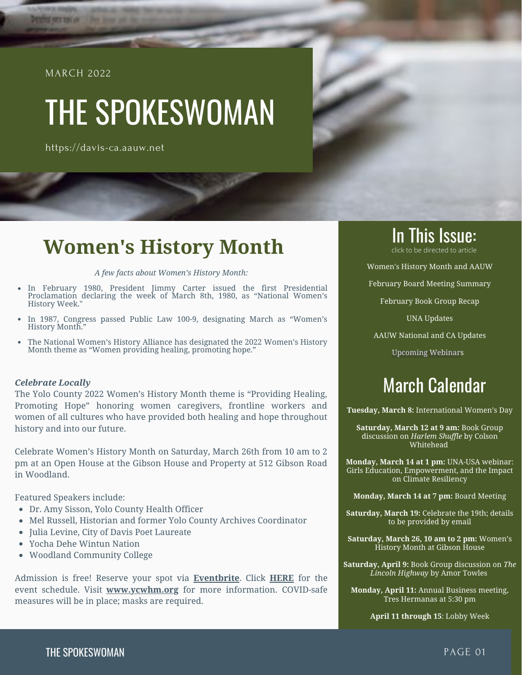#### MARCH 2022

<span id="page-0-0"></span>**BE REST DISTURB** 

# THE SPOKESWOMAN

https://davis-ca.aauw.net

#### **Women's History Month**

*A few facts about Women's History Month:*

- $\bullet$ In February 1980, President Jimmy Carter issued the first Presidential Proclamation declaring the week of March 8th, 1980, as "National Women's History Week."
- In 1987, Congress passed Public Law 100-9, designating March as "Women's History Month."
- The National Women's History Alliance has designated the 2022 Women's History Month theme as "Women providing healing, promoting hope."  $\bullet$

#### *Celebrate Locally*

The Yolo County 2022 Women's History Month theme is "Providing Healing, Promoting Hope" honoring women caregivers, frontline workers and women of all cultures who have provided both healing and hope throughout history and into our future.

Celebrate Women's History Month on Saturday, March 26th from 10 am to 2 pm at an Open House at the Gibson House and Property at 512 Gibson Road in Woodland.

Featured Speakers include:

- Dr. Amy Sisson, Yolo County Health Officer
- Mel Russell, Historian and former Yolo County Archives Coordinator
- Julia Levine, City of Davis Poet Laureate
- Yocha Dehe Wintun Nation
- Woodland Community College

Admission is free! Reserve your spot vi[a](https://www.eventbrite.com/e/yolo-county-womens-history-month-celebration-tickets-212130787897) **[Eventbrite](https://www.eventbrite.com/e/yolo-county-womens-history-month-celebration-tickets-212130787897)**. Clic[k](http://ycwhm.org/images/docs/2022%20WHM%20Schedule.pdf) **[HERE](http://ycwhm.org/images/docs/2022%20WHM%20Schedule.pdf)** for the event schedule. Visit **[www.ycwhm.org](http://www.ycwhm/)** for more information. COVID-safe measures will be in place; masks are required.

## **In This Issue:**

[Women's History Month and AAUW](#page-0-0)

[February Board Meeting Summary](#page-1-0)

[February Book Group Recap](#page-2-0)

[UNA Updates](#page-3-0)

[AAUW National and CA Updates](#page-4-0)

[Upcoming Webinars](#page-5-0)

### March Calendar

**Tuesday, March 8:** International Women's Day

**Saturday, March 12 at 9 am:** Book Group discussion on *Harlem Shuffle* by Colson Whitehead

**Monday, March 14 at 1 pm:** UNA-USA webinar: Girls Education, Empowerment, and the Impact on Climate Resiliency

**Monday, March 14 at 7 pm:** Board Meeting

**Saturday, March 19:** Celebrate the 19th; details to be provided by email

**Saturday, March 26, 10 am to 2 pm:** Women's History Month at Gibson House

**Saturday, April 9:** Book Group discussion on *The Lincoln Highway* by Amor Towles

**Monday, April 11:** Annual Business meeting, Tres Hermanas at 5:30 pm

**April 11 through 15**: Lobby Week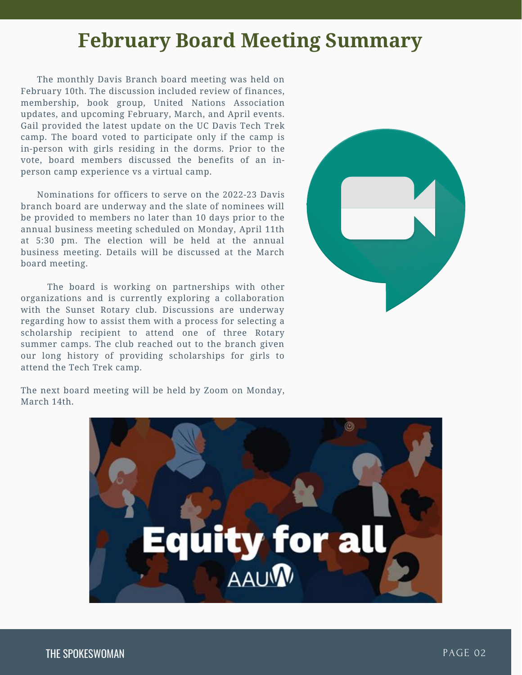### **February Board Meeting Summary**

<span id="page-1-0"></span>The monthly Davis Branch board meeting was held on February 10th. The discussion included review of finances, membership, book group, United Nations Association updates, and upcoming February, March, and April events. Gail provided the latest update on the UC Davis Tech Trek camp. The board voted to participate only if the camp is in-person with girls residing in the dorms. Prior to the vote, board members discussed the benefits of an inperson camp experience vs a virtual camp.

Nominations for officers to serve on the 2022-23 Davis branch board are underway and the slate of nominees will be provided to members no later than 10 days prior to the annual business meeting scheduled on Monday, April 11th at 5:30 pm. The election will be held at the annual business meeting. Details will be discussed at the March board meeting.

The board is working on partnerships with other organizations and is currently exploring a collaboration with the Sunset Rotary club. Discussions are underway regarding how to assist them with a process for selecting a scholarship recipient to attend one of three Rotary summer camps. The club reached out to the branch given our long history of providing scholarships for girls to attend the Tech Trek camp.



The next board meeting will be held by Zoom on Monday, March 14th.

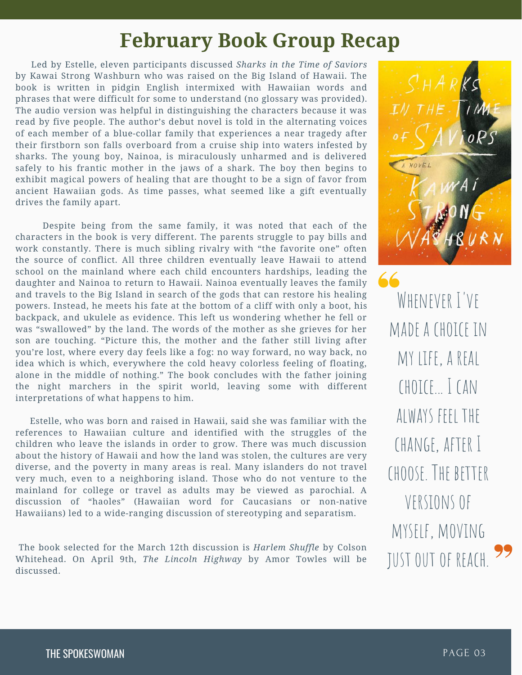### **February Book Group Recap**

<span id="page-2-0"></span>Led by Estelle, eleven participants discussed *Sharks in the Time of Saviors* by Kawai Strong Washburn who was raised on the Big Island of Hawaii. The book is written in pidgin English intermixed with Hawaiian words and phrases that were difficult for some to understand (no glossary was provided). The audio version was helpful in distinguishing the characters because it was read by five people. The author's debut novel is told in the alternating voices of each member of a blue-collar family that experiences a near tragedy after their firstborn son falls overboard from a cruise ship into waters infested by sharks. The young boy, Nainoa, is miraculously unharmed and is delivered safely to his frantic mother in the jaws of a shark. The boy then begins to exhibit magical powers of healing that are thought to be a sign of favor from ancient Hawaiian gods. As time passes, what seemed like a gift eventually drives the family apart.

Despite being from the same family, it was noted that each of the characters in the book is very different. The parents struggle to pay bills and work constantly. There is much sibling rivalry with "the favorite one" often the source of conflict. All three children eventually leave Hawaii to attend school on the mainland where each child encounters hardships, leading the daughter and Nainoa to return to Hawaii. Nainoa eventually leaves the family and travels to the Big Island in search of the gods that can restore his healing powers. Instead, he meets his fate at the bottom of a cliff with only a boot, his backpack, and ukulele as evidence. This left us wondering whether he fell or was "swallowed" by the land. The words of the mother as she grieves for her son are touching. "Picture this, the mother and the father still living after you're lost, where every day feels like a fog: no way forward, no way back, no idea which is which, everywhere the cold heavy colorless feeling of floating, alone in the middle of nothing." The book concludes with the father joining the night marchers in the spirit world, leaving some with different interpretations of what happens to him.

Estelle, who was born and raised in Hawaii, said she was familiar with the references to Hawaiian culture and identified with the struggles of the children who leave the islands in order to grow. There was much discussion about the history of Hawaii and how the land was stolen, the cultures are very diverse, and the poverty in many areas is real. Many islanders do not travel very much, even to a neighboring island. Those who do not venture to the mainland for college or travel as adults may be viewed as parochial. A discussion of "haoles" (Hawaiian word for Caucasians or non-native Hawaiians) led to a wide-ranging discussion of stereotyping and separatism.

The book selected for the March 12th discussion is *Harlem Shuffle* by Colson Whitehead. On April 9th, *The Lincoln Highway* by Amor Towles will be discussed.



WHENEVER I'VE made a choice in my life, a real choice... I can always feel the change, after I choose. The better versionsof myself, moving justoutof reach.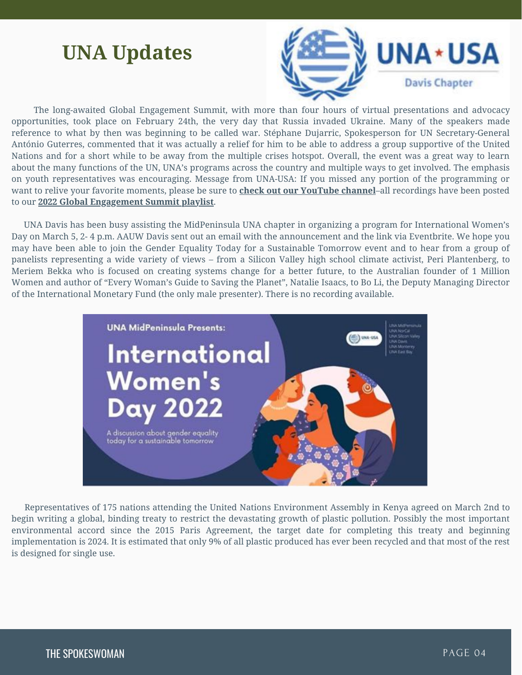### <span id="page-3-0"></span>**UNA Updates**



The long-awaited Global Engagement Summit, with more than four hours of virtual presentations and advocacy opportunities, took place on February 24th, the very day that Russia invaded Ukraine. Many of the speakers made reference to what by then was beginning to be called war. Stéphane Dujarric, Spokesperson for UN [Secretary-General](https://www.youtube.com/c/UnitedNationsAssociationoftheUSA/playlists) António Guterres, commented that it was actually a relief for him to be able to address a group supportive of the United Nations and for a short while to be away from the multiple crises hotspot. Overall, the event was a great way to learn about the many functions of the UN, UNA's programs across the country and multiple ways to get involved. The emphasis on youth representatives was encouraging. Message from UNA-USA: If you missed any portion of the programming or want to relive your favorite moments, please be sure to **check out our [YouTube](https://www.youtube.com/c/UnitedNationsAssociationoftheUSA/playlists) channel**–all recordings have been posted to our **2022 Global [Engagement](https://youtube.com/playlist?list=PLVBge3mwz_RCW6dADHxp8thHnOIWypL_e) Summit playlist**.

UNA Davis has been busy assisting the MidPeninsula UNA chapter in organizing a program for International Women's Day on March 5, 2- 4 p.m. AAUW Davis sent out an email with the announcement and the link via Eventbrite. We hope you may have been able to join the Gender Equality Today for a Sustainable Tomorrow event and to hear from a group of panelists representing a wide variety of views – from a Silicon Valley high school climate activist, Peri Plantenberg, to Meriem Bekka who is focused on creating systems change for a better future, to the Australian founder of 1 Million Women and author of "Every Woman's Guide to Saving the Planet", Natalie Isaacs, to Bo Li, the Deputy Managing Director of the International Monetary Fund (the only male presenter). There is no recording available.



Representatives of 175 nations attending the United Nations Environment Assembly in Kenya agreed on March 2nd to begin writing a global, binding treaty to restrict the devastating growth of plastic pollution. Possibly the most important environmental accord since the 2015 Paris Agreement, the target date for completing this treaty and beginning implementation is 2024. It is estimated that only 9% of all plastic produced has ever been recycled and that most of the rest is designed for single use.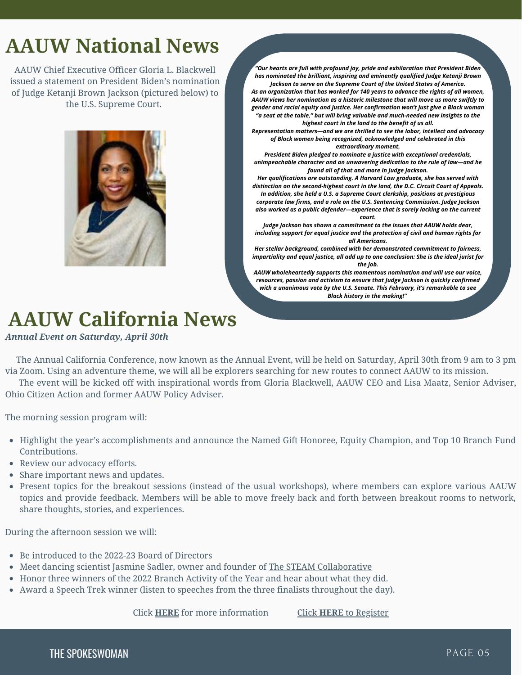### <span id="page-4-0"></span>**AAUW National News**

AAUW Chief Executive Officer Gloria L. Blackwell issued a statement on President Biden's nomination of Judge Ketanji Brown Jackson (pictured below) to the U.S. Supreme Court.



*Jackson to serve on the Supreme Court of the United States of America. As an organization that has worked for 140 years to advance the rights of all women, AAUW views her nomination as a historic milestone that will move us more swiftly to gender and racial equity and justice. Her confirmation won't just give a Black woman "a seat at the table," but will bring valuable and much-needed new insights to the highest court in the land to the benefit of us all. Representation matters—and we are thrilled to see the labor, intellect and advocacy of Black women being recognized, acknowledged and celebrated in this extraordinary moment. President Biden pledged to nominate a justice with exceptional credentials, unimpeachable character and an unwavering dedication to the rule of law—and he found all of that and more in Judge Jackson. Her qualifications are outstanding. A Harvard Law graduate, she has served with distinction on the second-highest court in the land, the D.C. Circuit Court of Appeals. In addition, she held a U.S. a Supreme Court clerkship, positions at prestigious corporate law firms, and a role on the U.S. Sentencing Commission. Judge Jackson also worked as a public defender—experience that is sorely lacking on the current court. Judge Jackson has shown a commitment to the issues that AAUW holds dear, including support for equal justice and the protection of civil and human rights for all Americans. Her stellar background, combined with her demonstrated commitment to fairness, impartiality and equal justice, all add up to one conclusion: She is the ideal jurist for the job.*

*"Our hearts are full with profound joy, pride and exhilaration that President Biden has nominated the brilliant, inspiring and eminently qualified Judge Ketanji Brown*

*AAUW wholeheartedly supports this momentous nomination and will use our voice, resources, passion and activism to ensure that Judge Jackson is quickly confirmed with a unanimous vote by the U.S. Senate. This February, it's remarkable to see Black history in the making!"*

### **AAUW California News**

#### *Annual Event on Saturday, April 30th*

The Annual California Conference, now known as the Annual Event, will be held on Saturday, April 30th from 9 am to 3 pm via Zoom. Using an adventure theme, we will all be explorers searching for new routes to connect AAUW to its mission.

The event will be kicked off with inspirational words from Gloria Blackwell, AAUW CEO and Lisa Maatz, Senior Adviser, Ohio Citizen Action and former AAUW Policy Adviser.

The morning session program will:

- Highlight the year's accomplishments and announce the Named Gift Honoree, Equity Champion, and Top 10 Branch Fund Contributions.
- Review our advocacy efforts.
- Share important news and updates.
- Present topics for the breakout sessions (instead of the usual workshops), where members can explore various AAUW topics and provide feedback. Members will be able to move freely back and forth between breakout rooms to network, share thoughts, stories, and experiences.

During the afternoon session we will:

- Be introduced to the 2022-23 Board of Directors
- Meet dancing scientist Jasmine Sadler, owner and founder of The STEAM [Collaborative](https://steamcollab.com/about-us/)
- Honor three winners of the 2022 Branch Activity of the Year and hear about what they did.
- Award a Speech Trek winner (listen to speeches from the three finalists throughout the day).

Click **[HERE](https://www.aauw-ca.org/2022-annual-event-a-real-adventure/)** for more information [Click](https://us02web.zoom.us/webinar/register/WN_N8klc793Rz-L5wCs8XUXww) **[HERE](https://us02web.zoom.us/webinar/register/WN_N8klc793Rz-L5wCs8XUXww)** to [Register](https://us02web.zoom.us/webinar/register/WN_N8klc793Rz-L5wCs8XUXww)

THE SPOKESWOMAN PAGE 05